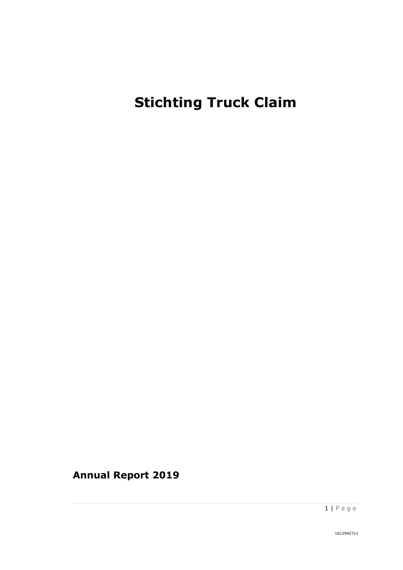# **Stichting Truck Claim**

**Annual Report 2019**

1 | P a g e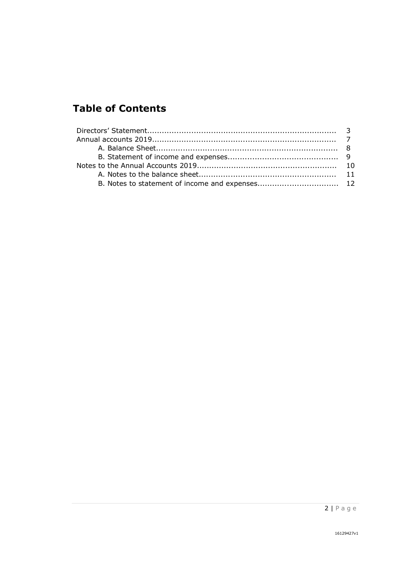# **Table of Contents**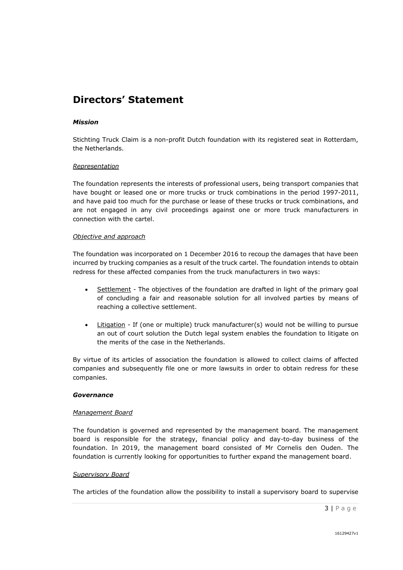### **Directors' Statement**

#### *Mission*

Stichting Truck Claim is a non-profit Dutch foundation with its registered seat in Rotterdam, the Netherlands.

#### *Representation*

The foundation represents the interests of professional users, being transport companies that have bought or leased one or more trucks or truck combinations in the period 1997-2011, and have paid too much for the purchase or lease of these trucks or truck combinations, and are not engaged in any civil proceedings against one or more truck manufacturers in connection with the cartel.

#### *Objective and approach*

The foundation was incorporated on 1 December 2016 to recoup the damages that have been incurred by trucking companies as a result of the truck cartel. The foundation intends to obtain redress for these affected companies from the truck manufacturers in two ways:

- Settlement The objectives of the foundation are drafted in light of the primary goal of concluding a fair and reasonable solution for all involved parties by means of reaching a collective settlement.
- Litigation If (one or multiple) truck manufacturer(s) would not be willing to pursue an out of court solution the Dutch legal system enables the foundation to litigate on the merits of the case in the Netherlands.

By virtue of its articles of association the foundation is allowed to collect claims of affected companies and subsequently file one or more lawsuits in order to obtain redress for these companies.

#### *Governance*

#### *Management Board*

The foundation is governed and represented by the management board. The management board is responsible for the strategy, financial policy and day-to-day business of the foundation. In 2019, the management board consisted of Mr Cornelis den Ouden. The foundation is currently looking for opportunities to further expand the management board.

#### *Supervisory Board*

The articles of the foundation allow the possibility to install a supervisory board to supervise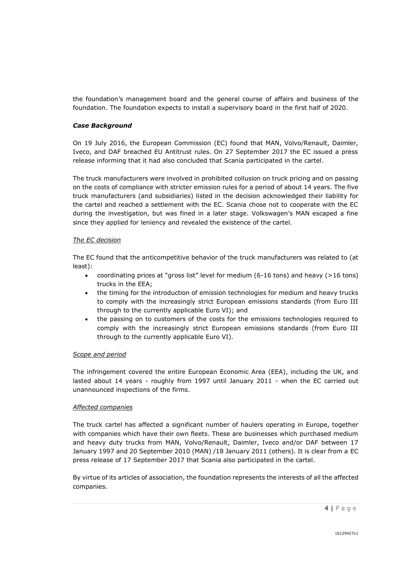the foundation's management board and the general course of affairs and business of the foundation. The foundation expects to install a supervisory board in the first half of 2020.

#### *Case Background*

On 19 July 2016, the European Commission (EC) found that MAN, Volvo/Renault, Daimler, Iveco, and DAF breached EU Antitrust rules. On 27 September 2017 the EC issued a press release informing that it had also concluded that Scania participated in the cartel.

The truck manufacturers were involved in prohibited collusion on truck pricing and on passing on the costs of compliance with stricter emission rules for a period of about 14 years. The five truck manufacturers (and subsidiaries) listed in the decision acknowledged their liability for the cartel and reached a settlement with the EC. Scania chose not to cooperate with the EC during the investigation, but was fined in a later stage. Volkswagen's MAN escaped a fine since they applied for leniency and revealed the existence of the cartel.

#### *The EC decision*

The EC found that the anticompetitive behavior of the truck manufacturers was related to (at least):

- coordinating prices at "gross list" level for medium (6-16 tons) and heavy (>16 tons) trucks in the EEA;
- the timing for the introduction of emission technologies for medium and heavy trucks to comply with the increasingly strict European emissions standards (from Euro III through to the currently applicable Euro VI); and
- the passing on to customers of the costs for the emissions technologies required to comply with the increasingly strict European emissions standards (from Euro III through to the currently applicable Euro VI).

#### *Scope and period*

The infringement covered the entire European Economic Area (EEA), including the UK, and lasted about 14 years - roughly from 1997 until January 2011 - when the EC carried out unannounced inspections of the firms.

#### *Affected companies*

The truck cartel has affected a significant number of haulers operating in Europe, together with companies which have their own fleets. These are businesses which purchased medium and heavy duty trucks from MAN, Volvo/Renault, Daimler, Iveco and/or DAF between 17 January 1997 and 20 September 2010 (MAN) /18 January 2011 (others). It is clear from a EC press release of 17 September 2017 that Scania also participated in the cartel.

By virtue of its articles of association, the foundation represents the interests of all the affected companies.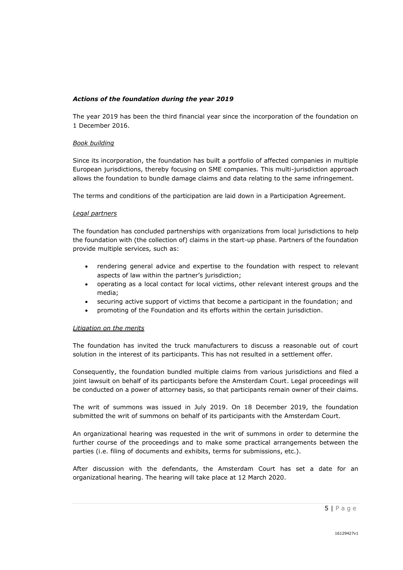#### *Actions of the foundation during the year 2019*

The year 2019 has been the third financial year since the incorporation of the foundation on 1 December 2016.

#### *Book building*

Since its incorporation, the foundation has built a portfolio of affected companies in multiple European jurisdictions, thereby focusing on SME companies. This multi-jurisdiction approach allows the foundation to bundle damage claims and data relating to the same infringement.

The terms and conditions of the participation are laid down in a Participation Agreement.

#### *Legal partners*

The foundation has concluded partnerships with organizations from local jurisdictions to help the foundation with (the collection of) claims in the start-up phase. Partners of the foundation provide multiple services, such as:

- rendering general advice and expertise to the foundation with respect to relevant aspects of law within the partner's jurisdiction;
- operating as a local contact for local victims, other relevant interest groups and the media;
- securing active support of victims that become a participant in the foundation; and
- promoting of the Foundation and its efforts within the certain jurisdiction.

#### *Litigation on the merits*

The foundation has invited the truck manufacturers to discuss a reasonable out of court solution in the interest of its participants. This has not resulted in a settlement offer.

Consequently, the foundation bundled multiple claims from various jurisdictions and filed a joint lawsuit on behalf of its participants before the Amsterdam Court. Legal proceedings will be conducted on a power of attorney basis, so that participants remain owner of their claims.

The writ of summons was issued in July 2019. On 18 December 2019, the foundation submitted the writ of summons on behalf of its participants with the Amsterdam Court.

An organizational hearing was requested in the writ of summons in order to determine the further course of the proceedings and to make some practical arrangements between the parties (i.e. filing of documents and exhibits, terms for submissions, etc.).

After discussion with the defendants, the Amsterdam Court has set a date for an organizational hearing. The hearing will take place at 12 March 2020.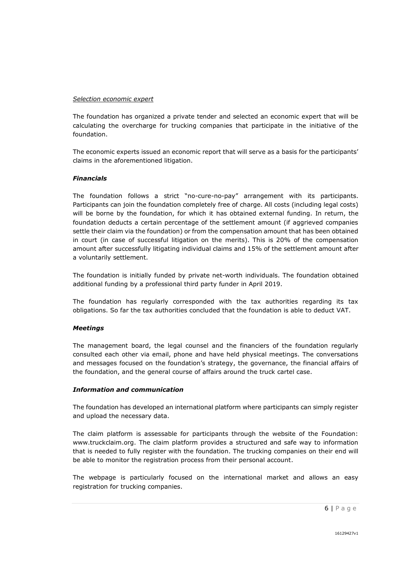#### *Selection economic expert*

The foundation has organized a private tender and selected an economic expert that will be calculating the overcharge for trucking companies that participate in the initiative of the foundation.

The economic experts issued an economic report that will serve as a basis for the participants' claims in the aforementioned litigation.

#### *Financials*

The foundation follows a strict "no-cure-no-pay" arrangement with its participants. Participants can join the foundation completely free of charge. All costs (including legal costs) will be borne by the foundation, for which it has obtained external funding. In return, the foundation deducts a certain percentage of the settlement amount (if aggrieved companies settle their claim via the foundation) or from the compensation amount that has been obtained in court (in case of successful litigation on the merits). This is 20% of the compensation amount after successfully litigating individual claims and 15% of the settlement amount after a voluntarily settlement.

The foundation is initially funded by private net-worth individuals. The foundation obtained additional funding by a professional third party funder in April 2019.

The foundation has regularly corresponded with the tax authorities regarding its tax obligations. So far the tax authorities concluded that the foundation is able to deduct VAT.

#### *Meetings*

The management board, the legal counsel and the financiers of the foundation regularly consulted each other via email, phone and have held physical meetings. The conversations and messages focused on the foundation's strategy, the governance, the financial affairs of the foundation, and the general course of affairs around the truck cartel case.

#### *Information and communication*

The foundation has developed an international platform where participants can simply register and upload the necessary data.

The claim platform is assessable for participants through the website of the Foundation: www.truckclaim.org. The claim platform provides a structured and safe way to information that is needed to fully register with the foundation. The trucking companies on their end will be able to monitor the registration process from their personal account.

The webpage is particularly focused on the international market and allows an easy registration for trucking companies.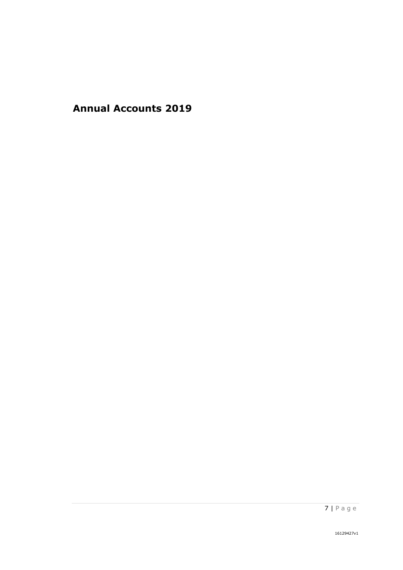**Annual Accounts 2019**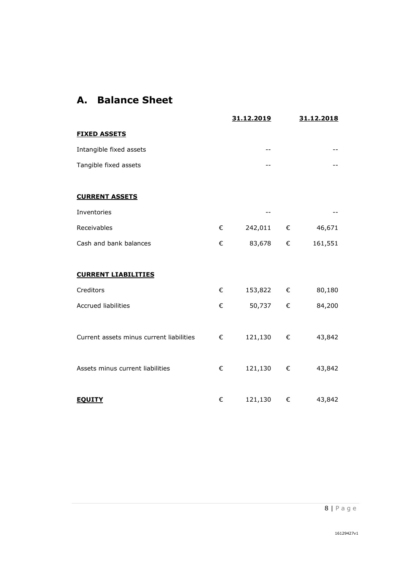# **A. Balance Sheet**

|                                          |   | 31.12.2019 |   | 31.12.2018 |
|------------------------------------------|---|------------|---|------------|
| <b>FIXED ASSETS</b>                      |   |            |   |            |
| Intangible fixed assets                  |   | --         |   |            |
| Tangible fixed assets                    |   |            |   |            |
|                                          |   |            |   |            |
| <b>CURRENT ASSETS</b>                    |   |            |   |            |
| Inventories                              |   |            |   |            |
| Receivables                              | € | 242,011    | € | 46,671     |
| Cash and bank balances                   | € | 83,678     | € | 161,551    |
|                                          |   |            |   |            |
| <b>CURRENT LIABILITIES</b>               |   |            |   |            |
| Creditors                                | € | 153,822 €  |   | 80,180     |
| <b>Accrued liabilities</b>               | € | 50,737     | € | 84,200     |
|                                          |   |            |   |            |
| Current assets minus current liabilities | € | 121,130    | € | 43,842     |
|                                          |   |            |   |            |
| Assets minus current liabilities         | € | 121,130    | € | 43,842     |
|                                          |   |            |   |            |
| <b>EQUITY</b>                            | € | 121,130    | € | 43,842     |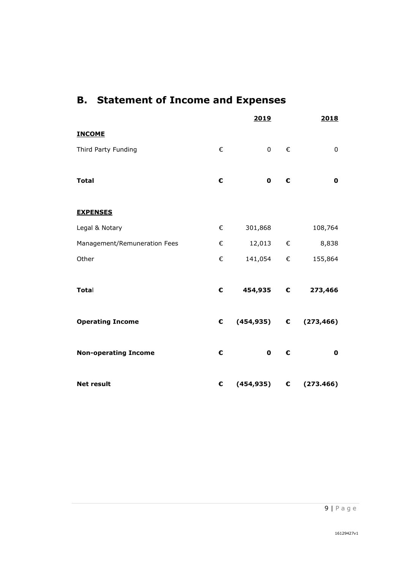# **B. Statement of Income and Expenses**

|                              |            | 2019              |   | 2018                               |
|------------------------------|------------|-------------------|---|------------------------------------|
| <b>INCOME</b>                |            |                   |   |                                    |
| Third Party Funding          | €          | $0 \qquad \qquad$ | € | $\pmb{0}$                          |
|                              |            |                   |   |                                    |
| <b>Total</b>                 | €          | $\mathbf 0$       | € | $\mathbf 0$                        |
|                              |            |                   |   |                                    |
| <b>EXPENSES</b>              |            |                   |   |                                    |
| Legal & Notary               | €          | 301,868           |   | 108,764                            |
| Management/Remuneration Fees | €          | 12,013 €          |   | 8,838                              |
| Other                        | €          | 141,054 €         |   | 155,864                            |
|                              |            |                   |   |                                    |
| Total                        | €          | 454,935 €         |   | 273,466                            |
|                              |            |                   |   |                                    |
| <b>Operating Income</b>      | $\epsilon$ |                   |   | $(454,935)$ $\epsilon$ $(273,466)$ |
|                              |            |                   |   |                                    |
| <b>Non-operating Income</b>  | €          | $\mathbf 0$       | € | $\mathbf 0$                        |
|                              |            |                   |   |                                    |
| <b>Net result</b>            | €          |                   |   | $(454, 935)$ $\epsilon$ (273.466)  |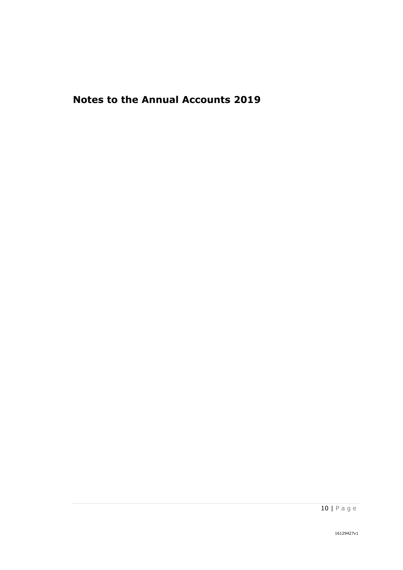# **Notes to the Annual Accounts 2019**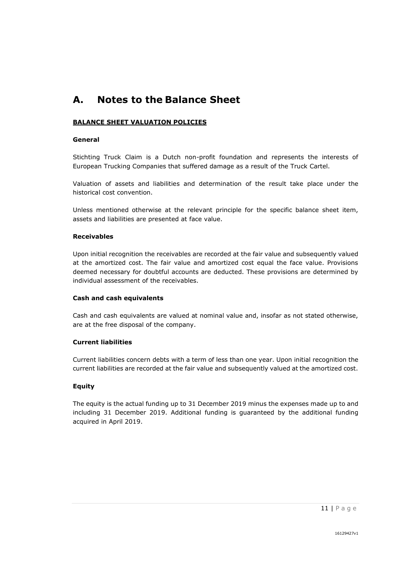# **A. Notes to the Balance Sheet**

#### **BALANCE SHEET VALUATION POLICIES**

#### **General**

Stichting Truck Claim is a Dutch non-profit foundation and represents the interests of European Trucking Companies that suffered damage as a result of the Truck Cartel.

Valuation of assets and liabilities and determination of the result take place under the historical cost convention.

Unless mentioned otherwise at the relevant principle for the specific balance sheet item, assets and liabilities are presented at face value.

#### **Receivables**

Upon initial recognition the receivables are recorded at the fair value and subsequently valued at the amortized cost. The fair value and amortized cost equal the face value. Provisions deemed necessary for doubtful accounts are deducted. These provisions are determined by individual assessment of the receivables.

#### **Cash and cash equivalents**

Cash and cash equivalents are valued at nominal value and, insofar as not stated otherwise, are at the free disposal of the company.

#### **Current liabilities**

Current liabilities concern debts with a term of less than one year. Upon initial recognition the current liabilities are recorded at the fair value and subsequently valued at the amortized cost.

#### **Equity**

The equity is the actual funding up to 31 December 2019 minus the expenses made up to and including 31 December 2019. Additional funding is guaranteed by the additional funding acquired in April 2019.